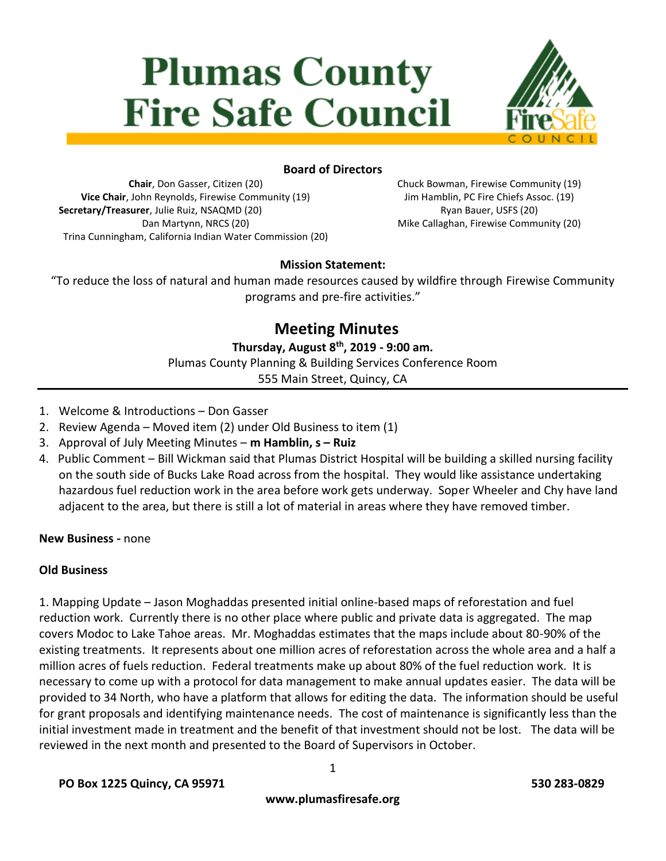# **Plumas County Fire Safe Council**



# **Board of Directors**

**Chair**, Don Gasser, Citizen (20) **Vice Chair**, John Reynolds, Firewise Community (19) **Secretary/Treasurer**, Julie Ruiz, NSAQMD (20) Dan Martynn, NRCS (20) Trina Cunningham, California Indian Water Commission (20) Chuck Bowman, Firewise Community (19) Jim Hamblin, PC Fire Chiefs Assoc. (19) Ryan Bauer, USFS (20) Mike Callaghan, Firewise Community (20)

# **Mission Statement:**

"To reduce the loss of natural and human made resources caused by wildfire through Firewise Community programs and pre-fire activities."

# **Meeting Minutes**

**Thursday, August 8 th, 2019 - 9:00 am.**

Plumas County Planning & Building Services Conference Room

555 Main Street, Quincy, CA

- 1. Welcome & Introductions Don Gasser
- 2. Review Agenda Moved item (2) under Old Business to item (1)
- 3. Approval of July Meeting Minutes **m Hamblin, s – Ruiz**
- 4. Public Comment Bill Wickman said that Plumas District Hospital will be building a skilled nursing facility on the south side of Bucks Lake Road across from the hospital. They would like assistance undertaking hazardous fuel reduction work in the area before work gets underway. Soper Wheeler and Chy have land adjacent to the area, but there is still a lot of material in areas where they have removed timber.

**New Business -** none

#### **Old Business**

1. Mapping Update – Jason Moghaddas presented initial online-based maps of reforestation and fuel reduction work. Currently there is no other place where public and private data is aggregated. The map covers Modoc to Lake Tahoe areas. Mr. Moghaddas estimates that the maps include about 80-90% of the existing treatments. It represents about one million acres of reforestation across the whole area and a half a million acres of fuels reduction. Federal treatments make up about 80% of the fuel reduction work. It is necessary to come up with a protocol for data management to make annual updates easier. The data will be provided to 34 North, who have a platform that allows for editing the data. The information should be useful for grant proposals and identifying maintenance needs. The cost of maintenance is significantly less than the initial investment made in treatment and the benefit of that investment should not be lost. The data will be reviewed in the next month and presented to the Board of Supervisors in October.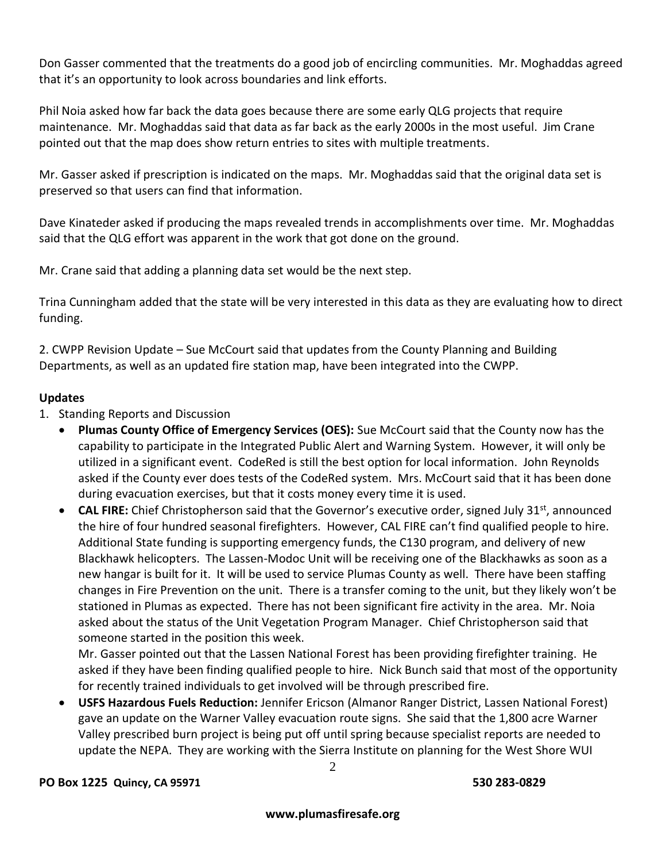Don Gasser commented that the treatments do a good job of encircling communities. Mr. Moghaddas agreed that it's an opportunity to look across boundaries and link efforts.

Phil Noia asked how far back the data goes because there are some early QLG projects that require maintenance. Mr. Moghaddas said that data as far back as the early 2000s in the most useful. Jim Crane pointed out that the map does show return entries to sites with multiple treatments.

Mr. Gasser asked if prescription is indicated on the maps. Mr. Moghaddas said that the original data set is preserved so that users can find that information.

Dave Kinateder asked if producing the maps revealed trends in accomplishments over time. Mr. Moghaddas said that the QLG effort was apparent in the work that got done on the ground.

Mr. Crane said that adding a planning data set would be the next step.

Trina Cunningham added that the state will be very interested in this data as they are evaluating how to direct funding.

2. CWPP Revision Update – Sue McCourt said that updates from the County Planning and Building Departments, as well as an updated fire station map, have been integrated into the CWPP.

# **Updates**

- 1. Standing Reports and Discussion
	- **Plumas County Office of Emergency Services (OES):** Sue McCourt said that the County now has the capability to participate in the Integrated Public Alert and Warning System. However, it will only be utilized in a significant event. CodeRed is still the best option for local information. John Reynolds asked if the County ever does tests of the CodeRed system. Mrs. McCourt said that it has been done during evacuation exercises, but that it costs money every time it is used.
	- **CAL FIRE:** Chief Christopherson said that the Governor's executive order, signed July 31<sup>st</sup>, announced the hire of four hundred seasonal firefighters. However, CAL FIRE can't find qualified people to hire. Additional State funding is supporting emergency funds, the C130 program, and delivery of new Blackhawk helicopters. The Lassen-Modoc Unit will be receiving one of the Blackhawks as soon as a new hangar is built for it. It will be used to service Plumas County as well. There have been staffing changes in Fire Prevention on the unit. There is a transfer coming to the unit, but they likely won't be stationed in Plumas as expected. There has not been significant fire activity in the area. Mr. Noia asked about the status of the Unit Vegetation Program Manager. Chief Christopherson said that someone started in the position this week.

Mr. Gasser pointed out that the Lassen National Forest has been providing firefighter training. He asked if they have been finding qualified people to hire. Nick Bunch said that most of the opportunity for recently trained individuals to get involved will be through prescribed fire.

 **USFS Hazardous Fuels Reduction:** Jennifer Ericson (Almanor Ranger District, Lassen National Forest) gave an update on the Warner Valley evacuation route signs. She said that the 1,800 acre Warner Valley prescribed burn project is being put off until spring because specialist reports are needed to update the NEPA. They are working with the Sierra Institute on planning for the West Shore WUI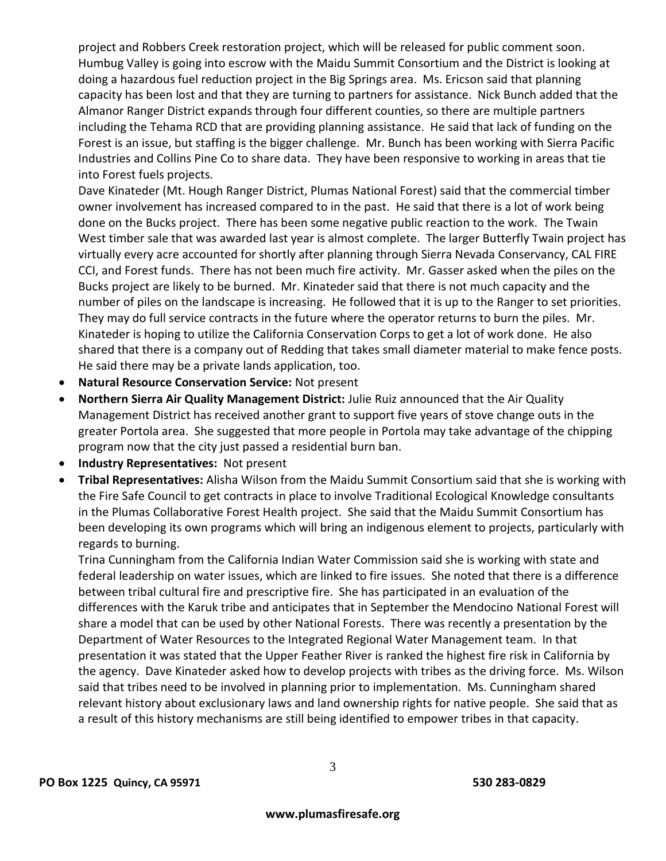project and Robbers Creek restoration project, which will be released for public comment soon. Humbug Valley is going into escrow with the Maidu Summit Consortium and the District is looking at doing a hazardous fuel reduction project in the Big Springs area. Ms. Ericson said that planning capacity has been lost and that they are turning to partners for assistance. Nick Bunch added that the Almanor Ranger District expands through four different counties, so there are multiple partners including the Tehama RCD that are providing planning assistance. He said that lack of funding on the Forest is an issue, but staffing is the bigger challenge. Mr. Bunch has been working with Sierra Pacific Industries and Collins Pine Co to share data. They have been responsive to working in areas that tie into Forest fuels projects.

Dave Kinateder (Mt. Hough Ranger District, Plumas National Forest) said that the commercial timber owner involvement has increased compared to in the past. He said that there is a lot of work being done on the Bucks project. There has been some negative public reaction to the work. The Twain West timber sale that was awarded last year is almost complete. The larger Butterfly Twain project has virtually every acre accounted for shortly after planning through Sierra Nevada Conservancy, CAL FIRE CCI, and Forest funds. There has not been much fire activity. Mr. Gasser asked when the piles on the Bucks project are likely to be burned. Mr. Kinateder said that there is not much capacity and the number of piles on the landscape is increasing. He followed that it is up to the Ranger to set priorities. They may do full service contracts in the future where the operator returns to burn the piles. Mr. Kinateder is hoping to utilize the California Conservation Corps to get a lot of work done. He also shared that there is a company out of Redding that takes small diameter material to make fence posts. He said there may be a private lands application, too.

- **Natural Resource Conservation Service:** Not present
- **Northern Sierra Air Quality Management District:** Julie Ruiz announced that the Air Quality Management District has received another grant to support five years of stove change outs in the greater Portola area. She suggested that more people in Portola may take advantage of the chipping program now that the city just passed a residential burn ban.
- **Industry Representatives:** Not present
- **Tribal Representatives:** Alisha Wilson from the Maidu Summit Consortium said that she is working with the Fire Safe Council to get contracts in place to involve Traditional Ecological Knowledge consultants in the Plumas Collaborative Forest Health project. She said that the Maidu Summit Consortium has been developing its own programs which will bring an indigenous element to projects, particularly with regards to burning.

Trina Cunningham from the California Indian Water Commission said she is working with state and federal leadership on water issues, which are linked to fire issues. She noted that there is a difference between tribal cultural fire and prescriptive fire. She has participated in an evaluation of the differences with the Karuk tribe and anticipates that in September the Mendocino National Forest will share a model that can be used by other National Forests. There was recently a presentation by the Department of Water Resources to the Integrated Regional Water Management team. In that presentation it was stated that the Upper Feather River is ranked the highest fire risk in California by the agency. Dave Kinateder asked how to develop projects with tribes as the driving force. Ms. Wilson said that tribes need to be involved in planning prior to implementation. Ms. Cunningham shared relevant history about exclusionary laws and land ownership rights for native people. She said that as a result of this history mechanisms are still being identified to empower tribes in that capacity.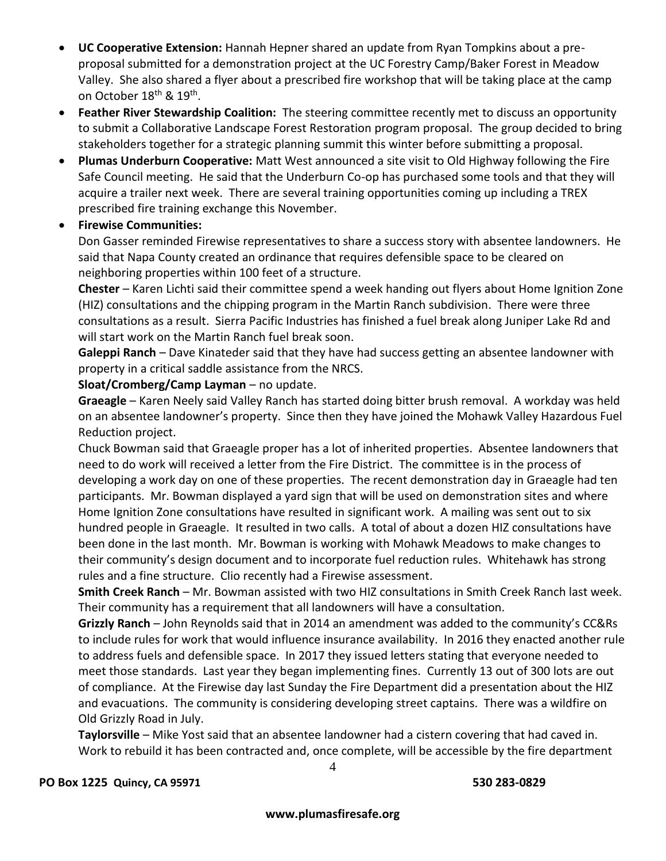- **UC Cooperative Extension:** Hannah Hepner shared an update from Ryan Tompkins about a preproposal submitted for a demonstration project at the UC Forestry Camp/Baker Forest in Meadow Valley. She also shared a flyer about a prescribed fire workshop that will be taking place at the camp on October 18<sup>th</sup> & 19<sup>th</sup>.
- **Feather River Stewardship Coalition:** The steering committee recently met to discuss an opportunity to submit a Collaborative Landscape Forest Restoration program proposal. The group decided to bring stakeholders together for a strategic planning summit this winter before submitting a proposal.
- **Plumas Underburn Cooperative:** Matt West announced a site visit to Old Highway following the Fire Safe Council meeting. He said that the Underburn Co-op has purchased some tools and that they will acquire a trailer next week. There are several training opportunities coming up including a TREX prescribed fire training exchange this November.

# **Firewise Communities:**

Don Gasser reminded Firewise representatives to share a success story with absentee landowners. He said that Napa County created an ordinance that requires defensible space to be cleared on neighboring properties within 100 feet of a structure.

**Chester** – Karen Lichti said their committee spend a week handing out flyers about Home Ignition Zone (HIZ) consultations and the chipping program in the Martin Ranch subdivision. There were three consultations as a result. Sierra Pacific Industries has finished a fuel break along Juniper Lake Rd and will start work on the Martin Ranch fuel break soon.

**Galeppi Ranch** – Dave Kinateder said that they have had success getting an absentee landowner with property in a critical saddle assistance from the NRCS.

#### **Sloat/Cromberg/Camp Layman** – no update.

**Graeagle** – Karen Neely said Valley Ranch has started doing bitter brush removal. A workday was held on an absentee landowner's property. Since then they have joined the Mohawk Valley Hazardous Fuel Reduction project.

Chuck Bowman said that Graeagle proper has a lot of inherited properties. Absentee landowners that need to do work will received a letter from the Fire District. The committee is in the process of developing a work day on one of these properties. The recent demonstration day in Graeagle had ten participants. Mr. Bowman displayed a yard sign that will be used on demonstration sites and where Home Ignition Zone consultations have resulted in significant work. A mailing was sent out to six hundred people in Graeagle. It resulted in two calls. A total of about a dozen HIZ consultations have been done in the last month. Mr. Bowman is working with Mohawk Meadows to make changes to their community's design document and to incorporate fuel reduction rules. Whitehawk has strong rules and a fine structure. Clio recently had a Firewise assessment.

**Smith Creek Ranch** – Mr. Bowman assisted with two HIZ consultations in Smith Creek Ranch last week. Their community has a requirement that all landowners will have a consultation.

**Grizzly Ranch** – John Reynolds said that in 2014 an amendment was added to the community's CC&Rs to include rules for work that would influence insurance availability. In 2016 they enacted another rule to address fuels and defensible space. In 2017 they issued letters stating that everyone needed to meet those standards. Last year they began implementing fines. Currently 13 out of 300 lots are out of compliance. At the Firewise day last Sunday the Fire Department did a presentation about the HIZ and evacuations. The community is considering developing street captains. There was a wildfire on Old Grizzly Road in July.

**Taylorsville** – Mike Yost said that an absentee landowner had a cistern covering that had caved in. Work to rebuild it has been contracted and, once complete, will be accessible by the fire department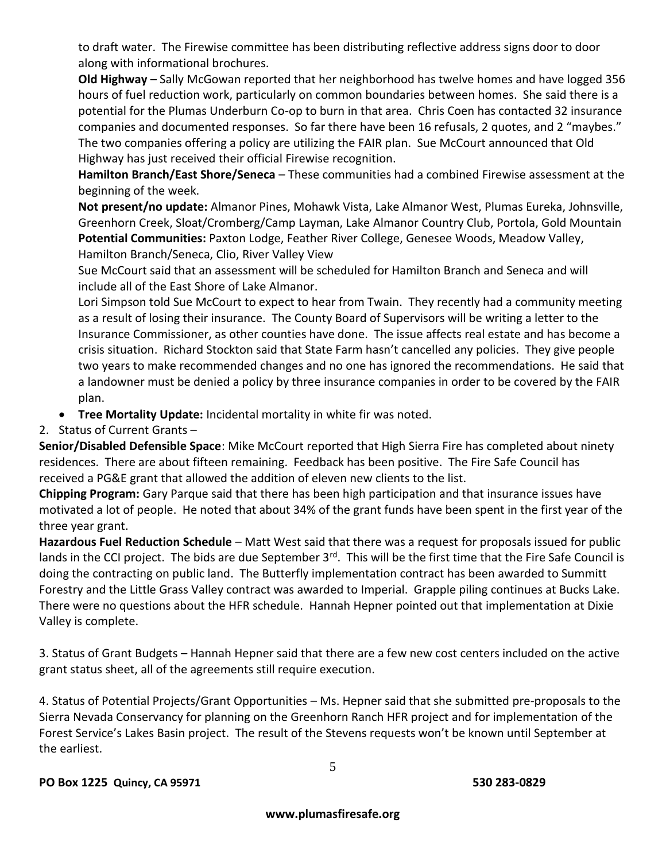to draft water. The Firewise committee has been distributing reflective address signs door to door along with informational brochures.

**Old Highway** – Sally McGowan reported that her neighborhood has twelve homes and have logged 356 hours of fuel reduction work, particularly on common boundaries between homes. She said there is a potential for the Plumas Underburn Co-op to burn in that area. Chris Coen has contacted 32 insurance companies and documented responses. So far there have been 16 refusals, 2 quotes, and 2 "maybes." The two companies offering a policy are utilizing the FAIR plan. Sue McCourt announced that Old Highway has just received their official Firewise recognition.

**Hamilton Branch/East Shore/Seneca** – These communities had a combined Firewise assessment at the beginning of the week.

**Not present/no update:** Almanor Pines, Mohawk Vista, Lake Almanor West, Plumas Eureka, Johnsville, Greenhorn Creek, Sloat/Cromberg/Camp Layman, Lake Almanor Country Club, Portola, Gold Mountain **Potential Communities:** Paxton Lodge, Feather River College, Genesee Woods, Meadow Valley, Hamilton Branch/Seneca, Clio, River Valley View

Sue McCourt said that an assessment will be scheduled for Hamilton Branch and Seneca and will include all of the East Shore of Lake Almanor.

Lori Simpson told Sue McCourt to expect to hear from Twain. They recently had a community meeting as a result of losing their insurance. The County Board of Supervisors will be writing a letter to the Insurance Commissioner, as other counties have done. The issue affects real estate and has become a crisis situation. Richard Stockton said that State Farm hasn't cancelled any policies. They give people two years to make recommended changes and no one has ignored the recommendations. He said that a landowner must be denied a policy by three insurance companies in order to be covered by the FAIR plan.

- **Tree Mortality Update:** Incidental mortality in white fir was noted.
- 2. Status of Current Grants –

**Senior/Disabled Defensible Space**: Mike McCourt reported that High Sierra Fire has completed about ninety residences. There are about fifteen remaining. Feedback has been positive. The Fire Safe Council has received a PG&E grant that allowed the addition of eleven new clients to the list.

**Chipping Program:** Gary Parque said that there has been high participation and that insurance issues have motivated a lot of people. He noted that about 34% of the grant funds have been spent in the first year of the three year grant.

**Hazardous Fuel Reduction Schedule** – Matt West said that there was a request for proposals issued for public lands in the CCI project. The bids are due September  $3^{rd}$ . This will be the first time that the Fire Safe Council is doing the contracting on public land. The Butterfly implementation contract has been awarded to Summitt Forestry and the Little Grass Valley contract was awarded to Imperial. Grapple piling continues at Bucks Lake. There were no questions about the HFR schedule. Hannah Hepner pointed out that implementation at Dixie Valley is complete.

3. Status of Grant Budgets – Hannah Hepner said that there are a few new cost centers included on the active grant status sheet, all of the agreements still require execution.

4. Status of Potential Projects/Grant Opportunities – Ms. Hepner said that she submitted pre-proposals to the Sierra Nevada Conservancy for planning on the Greenhorn Ranch HFR project and for implementation of the Forest Service's Lakes Basin project. The result of the Stevens requests won't be known until September at the earliest.